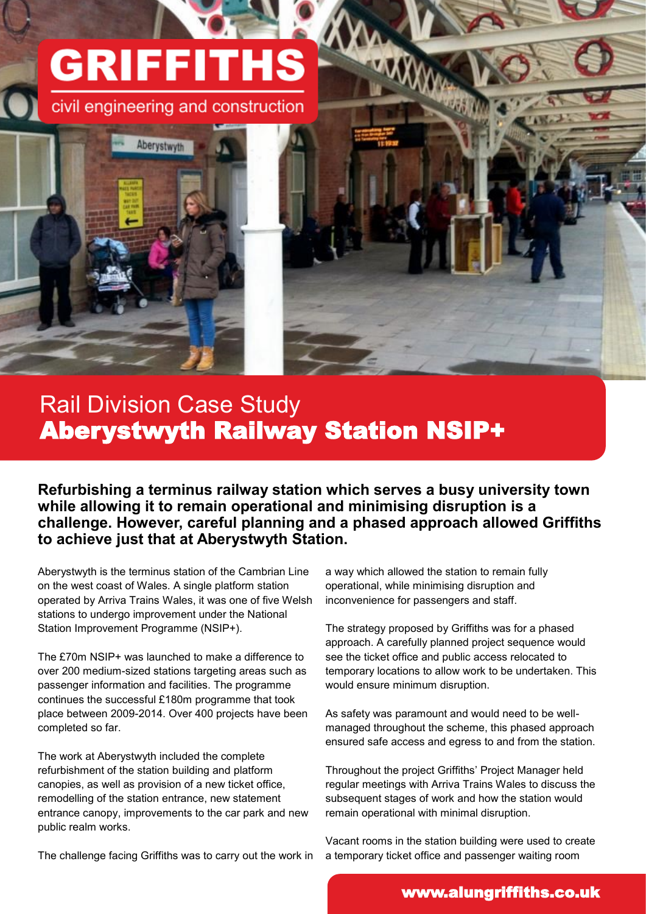## **GRIFFITHS**

civil engineering and construction



## Rail Division Case Study Aberystwyth Railway Station NSIP+

**Refurbishing a terminus railway station which serves a busy university town while allowing it to remain operational and minimising disruption is a challenge. However, careful planning and a phased approach allowed Griffiths to achieve just that at Aberystwyth Station.**

Aberystwyth is the terminus station of the Cambrian Line on the west coast of Wales. A single platform station operated by Arriva Trains Wales, it was one of five Welsh stations to undergo improvement under the National Station Improvement Programme (NSIP+).

The £70m NSIP+ was launched to make a difference to over 200 medium-sized stations targeting areas such as passenger information and facilities. The programme continues the successful £180m programme that took place between 2009-2014. Over 400 projects have been completed so far.

The work at Aberystwyth included the complete refurbishment of the station building and platform canopies, as well as provision of a new ticket office, remodelling of the station entrance, new statement entrance canopy, improvements to the car park and new public realm works.

The challenge facing Griffiths was to carry out the work in

a way which allowed the station to remain fully operational, while minimising disruption and inconvenience for passengers and staff.

The strategy proposed by Griffiths was for a phased approach. A carefully planned project sequence would see the ticket office and public access relocated to temporary locations to allow work to be undertaken. This would ensure minimum disruption.

As safety was paramount and would need to be wellmanaged throughout the scheme, this phased approach ensured safe access and egress to and from the station.

Throughout the project Griffiths' Project Manager held regular meetings with Arriva Trains Wales to discuss the subsequent stages of work and how the station would remain operational with minimal disruption.

Vacant rooms in the station building were used to create a temporary ticket office and passenger waiting room

## www.alungriffiths.co.uk